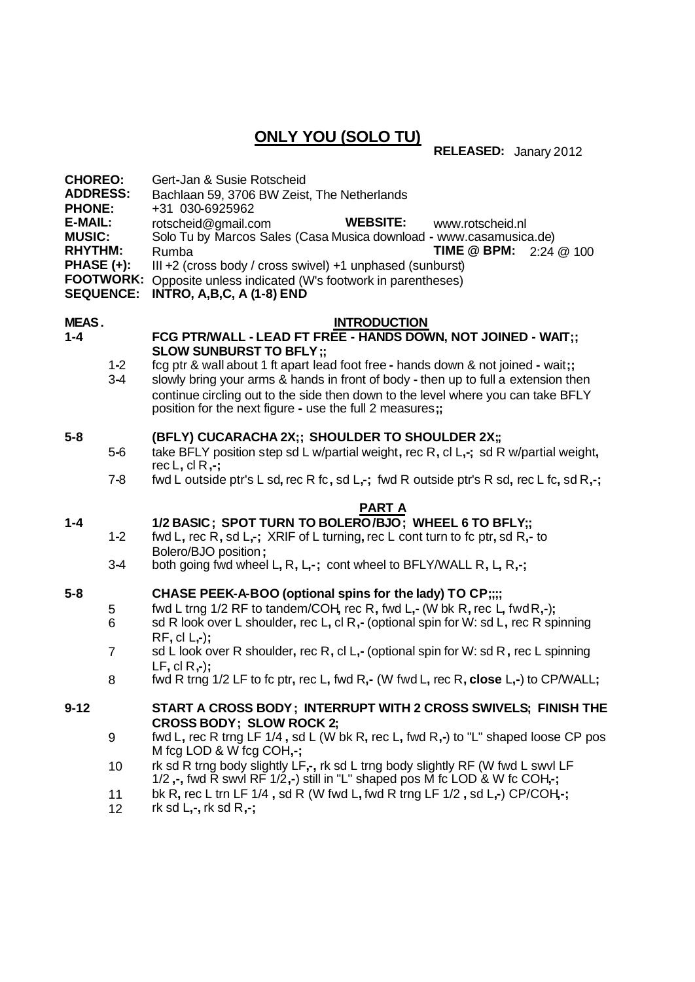# **ONLY YOU (SOLO TU)**

**RELEASED:** Janary 2012

| <b>CHOREO:</b><br><b>ADDRESS:</b><br><b>PHONE:</b><br>E-MAIL:<br><b>MUSIC:</b><br><b>RHYTHM:</b><br><b>PHASE (+):</b><br><b>FOOTWORK:</b><br><b>SEQUENCE:</b> |                | Gert-Jan & Susie Rotscheid<br>Bachlaan 59, 3706 BW Zeist, The Netherlands<br>+31 030-6925962<br><b>WEBSITE:</b><br>rotscheid@gmail.com<br>www.rotscheid.nl<br>Solo Tu by Marcos Sales (Casa Musica download - www.casamusica.de)<br>Rumba<br>TIME @ BPM:<br>2:24 @ 100<br>III +2 (cross body / cross swivel) +1 unphased (sunburst)<br>Opposite unless indicated (W's footwork in parentheses)<br><b>INTRO, A,B,C, A (1-8) END</b> |
|---------------------------------------------------------------------------------------------------------------------------------------------------------------|----------------|------------------------------------------------------------------------------------------------------------------------------------------------------------------------------------------------------------------------------------------------------------------------------------------------------------------------------------------------------------------------------------------------------------------------------------|
| <b>MEAS.</b>                                                                                                                                                  |                | <b>INTRODUCTION</b>                                                                                                                                                                                                                                                                                                                                                                                                                |
| $1 - 4$                                                                                                                                                       |                | FCG PTR/WALL - LEAD FT FREE - HANDS DOWN, NOT JOINED - WAIT;;                                                                                                                                                                                                                                                                                                                                                                      |
|                                                                                                                                                               | $1 - 2$        | <b>SLOW SUNBURST TO BFLY;;</b><br>fcg ptr & wall about 1 ft apart lead foot free - hands down & not joined - wait;;                                                                                                                                                                                                                                                                                                                |
|                                                                                                                                                               | $3-4$          | slowly bring your arms & hands in front of body - then up to full a extension then<br>continue circling out to the side then down to the level where you can take BFLY<br>position for the next figure - use the full 2 measures;;                                                                                                                                                                                                 |
| $5-8$                                                                                                                                                         |                | (BFLY) CUCARACHA 2X;; SHOULDER TO SHOULDER 2X;;                                                                                                                                                                                                                                                                                                                                                                                    |
|                                                                                                                                                               | $5-6$          | take BFLY position step sd L w/partial weight, rec R, cl L,-; sd R w/partial weight,<br>rec L, cl R,-;                                                                                                                                                                                                                                                                                                                             |
|                                                                                                                                                               | $7 - 8$        | fwd L outside ptr's L sd, rec R fc, sd L,-; fwd R outside ptr's R sd, rec L fc, sd R,-;                                                                                                                                                                                                                                                                                                                                            |
|                                                                                                                                                               |                | <b>PART A</b>                                                                                                                                                                                                                                                                                                                                                                                                                      |
| $1 - 4$                                                                                                                                                       | $1 - 2$        | 1/2 BASIC; SPOT TURN TO BOLERO/BJO; WHEEL 6 TO BFLY;;<br>fwd L, rec R, sd L,-; XRIF of L turning, rec L cont turn to fc ptr, sd R,- to                                                                                                                                                                                                                                                                                             |
|                                                                                                                                                               | $3 - 4$        | Bolero/BJO position;<br>both going fwd wheel L, R, L,-; cont wheel to BFLY/WALL R, L, R,-;                                                                                                                                                                                                                                                                                                                                         |
| 5-8                                                                                                                                                           |                | CHASE PEEK-A-BOO (optional spins for the lady) TO CP;;;;                                                                                                                                                                                                                                                                                                                                                                           |
|                                                                                                                                                               | 5<br>6         | fwd L trng 1/2 RF to tandem/COH, rec R, fwd L,- (W bk R, rec L, fwd R,-);<br>sd R look over L shoulder, rec L, cl R,- (optional spin for W: sd L, rec R spinning                                                                                                                                                                                                                                                                   |
|                                                                                                                                                               | $\overline{7}$ | $RF, cl L,-);$<br>sd L look over R shoulder, rec R, cl L,- (optional spin for W: sd R, rec L spinning<br>$LF, cl R, -$ :                                                                                                                                                                                                                                                                                                           |
|                                                                                                                                                               | 8              | fwd R trng 1/2 LF to fc ptr, rec L, fwd R,- (W fwd L, rec R, close L,-) to CP/WALL;                                                                                                                                                                                                                                                                                                                                                |
| $9 - 12$                                                                                                                                                      |                | START A CROSS BODY; INTERRUPT WITH 2 CROSS SWIVELS; FINISH THE<br><b>CROSS BODY; SLOW ROCK 2;</b>                                                                                                                                                                                                                                                                                                                                  |
|                                                                                                                                                               | 9              | fwd L, rec R trng LF 1/4, sd L (W bk R, rec L, fwd R,-) to "L" shaped loose CP pos<br>M fcg LOD & W fcg COH,-;                                                                                                                                                                                                                                                                                                                     |
|                                                                                                                                                               | 10             | rk sd R trng body slightly LF,-, rk sd L trng body slightly RF (W fwd L swvl LF<br>1/2,-, fwd R swvl RF 1/2,-) still in "L" shaped pos M fc LOD & W fc COH,-;                                                                                                                                                                                                                                                                      |
|                                                                                                                                                               | 11<br>12       | bk R, rec L trn LF 1/4, sd R (W fwd L, fwd R trng LF 1/2, sd L,-) CP/COH,-;<br>rk sd $L,$ -, rk sd $R,$ -;                                                                                                                                                                                                                                                                                                                         |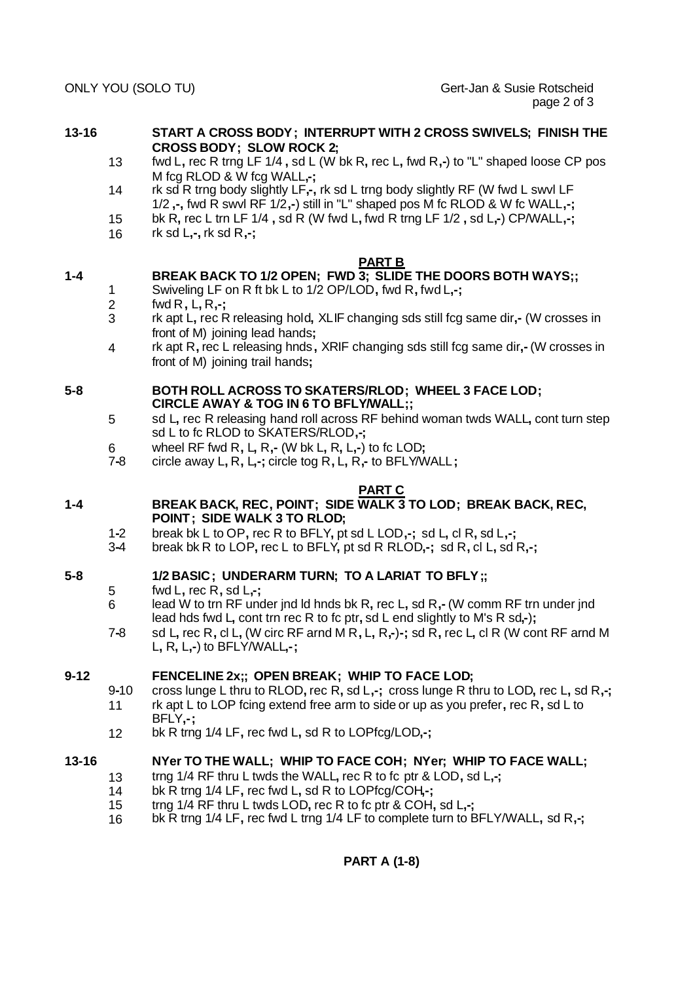- **13-16 START A CROSS BODY; INTERRUPT WITH 2 CROSS SWIVELS; FINISH THE CROSS BODY; SLOW ROCK 2;**
	- 13 fwd L**,** rec R trng LF 1/4 **,** sd L (W bk R**,** rec L**,** fwd R**,-**) to "L" shaped loose CP pos M fcg RLOD & W fcg WALL**,-;**
	- 14 rk sd R trng body slightly LF**,-,** rk sd L trng body slightly RF (W fwd L swvl LF 1/2 **,-,** fwd R swvl RF 1/2**,-**) still in "L" shaped pos M fc RLOD & W fc WALL**,-;**
	- 15 bk R**,** rec L trn LF 1/4 **,** sd R (W fwd L**,** fwd R trng LF 1/2 **,** sd L**,-**) CP/WALL**,-;**
	- 16 rk sd L**,-,** rk sd R**,-;**

#### **PART B**

## **1-4 BREAK BACK TO 1/2 OPEN; FWD 3; SLIDE THE DOORS BOTH WAYS;;**

- 1 Swiveling LF on R ft bk L to 1/2 OP/LOD**,** fwd R**,** fwd L**,-;**
- 2 fwd R**,** L**,** R**,-;**
- 3 rk apt L**,** rec R releasing hold**,** XLIF changing sds still fcg same dir**,-** (W crosses in front of M) joining lead hands**;**
- 4 rk apt R**,** rec L releasing hnds**,** XRIF changing sds still fcg same dir**,-** (W crosses in front of M) joining trail hands**;**

## **5-8 BOTH ROLL ACROSS TO SKATERS/RLOD; WHEEL 3 FACE LOD; CIRCLE AWAY & TOG IN 6 TO BFLY/WALL;;**

- 5 sd L**,** rec R releasing hand roll across RF behind woman twds WALL**,** cont turn step sd L to fc RLOD to SKATERS/RLOD**,-;**
- 6 wheel RF fwd R**,** L**,** R**,-** (W bk L**,** R**,** L**,-**) to fc LOD**;**
- 7**-**8 circle away L**,** R**,** L**,-;** circle tog R**,** L**,** R**,-** to BFLY/WALL**;**

### **PART C**

- **1-4 BREAK BACK, REC, POINT; SIDE WALK 3 TO LOD; BREAK BACK, REC, POINT; SIDE WALK 3 TO RLOD;**
	- 1**-**2 break bk L to OP**,** rec R to BFLY**,** pt sd L LOD**,-;** sd L**,** cl R**,** sd L**,-;**
	- 3**-**4 break bk R to LOP**,** rec L to BFLY**,** pt sd R RLOD**,-;** sd R**,** cl L**,** sd R**,-;**

## **5-8 1/2 BASIC; UNDERARM TURN; TO A LARIAT TO BFLY;;**

- 5 fwd L**,** rec R**,** sd L**,-;**
- 6 lead W to trn RF under jnd ld hnds bk R**,** rec L**,** sd R**,-** (W comm RF trn under jnd lead hds fwd L**,** cont trn rec R to fc ptr**,** sd L end slightly to M's R sd**,-**)**;**
- 7**-**8 sd L**,** rec R**,** cl L**,** (W circ RF arnd M R**,** L**,** R**,-**)**-;** sd R**,** rec L**,** cl R (W cont RF arnd M L**,** R**,** L**,-**) to BFLY/WALL**,-;**

## **9-12 FENCELINE 2x;; OPEN BREAK; WHIP TO FACE LOD;**

- 9**-**10 cross lunge L thru to RLOD**,** rec R**,** sd L**,-;** cross lunge R thru to LOD**,** rec L**,** sd R**,-;** 11 rk apt L to LOP fcing extend free arm to side or up as you prefer**,** rec R**,** sd L to BFLY**,-;**
- 12 bk R trng 1/4 LF**,** rec fwd L**,** sd R to LOPfcg/LOD**,-;**

## **13-16 NYer TO THE WALL; WHIP TO FACE COH; NYer; WHIP TO FACE WALL;**

- 13 trng 1/4 RF thru L twds the WALL**,** rec R to fc ptr & LOD**,** sd L**,-;**
- 14 bk R trng 1/4 LF**,** rec fwd L**,** sd R to LOPfcg/COH**,-;**
- 15 trng 1/4 RF thru L twds LOD**,** rec R to fc ptr & COH**,** sd L**,-;**
- 16 bk R trng 1/4 LF**,** rec fwd L trng 1/4 LF to complete turn to BFLY/WALL**,** sd R**,-;**

## **PART A (1-8)**